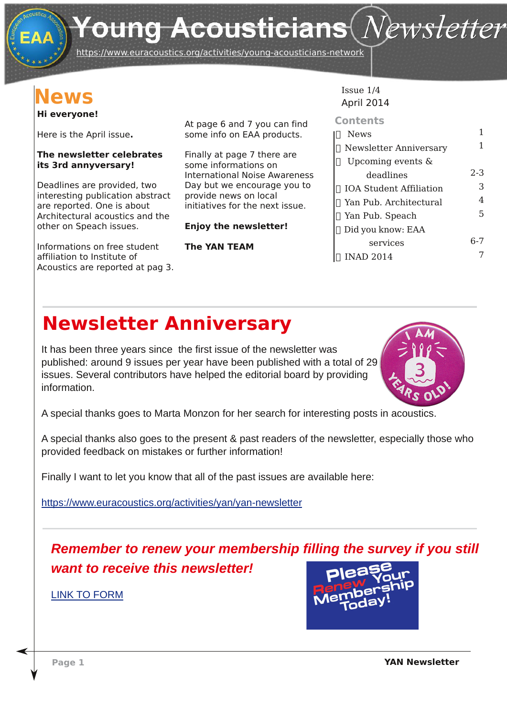# Young Acousticians $(\mathit{N}\!\mathit{ews}$ letter

https://www.euracoustics.org/activities/young-acousticians-network

### **News**

#### **Hi everyone!**

Here is the April issue**.**

#### **The newsletter celebrates its 3rd annyversary!**

Deadlines are provided, two interesting publication abstract are reported. One is about Architectural acoustics and the other on Speach issues.

Informations on free student affiliation to Institute of Acoustics are reported at pag 3. At page 6 and 7 you can find some info on EAA products.

Finally at page 7 there are some informations on International Noise Awareness Day but we encourage you to provide news on local initiatives for the next issue.

#### **Enjoy the newsletter!**

#### **The YAN TEAM**

#### Issue 1/4 April 2014

| 1       |
|---------|
|         |
| $2 - 3$ |
| 3       |
| 4       |
| 5       |
|         |
| հ-7     |
|         |
|         |

### **Newsletter Anniversary**

It has been three years since the first issue of the newsletter was published: around 9 issues per year have been published with a total of 29 issues. Several contributors have helped the editorial board by providing information.



A special thanks goes to Marta Monzon for her search for interesting posts in acoustics.

A special thanks also goes to the present & past readers of the newsletter, especially those who provided feedback on mistakes or further information!

Finally I want to let you know that all of the past issues are available here:

https://www.euracoustics.org/activities/yan/yan-newsletter

*Remember to renew your [membership](https://docs.google.com/forms/d/1jVTD-lJYfd0EfrwcgZrMRm3kAvJkjdIc5N8hF6ZP8os/viewform) filling the survey if you still want to receive this newsletter!*

LINK TO FORM

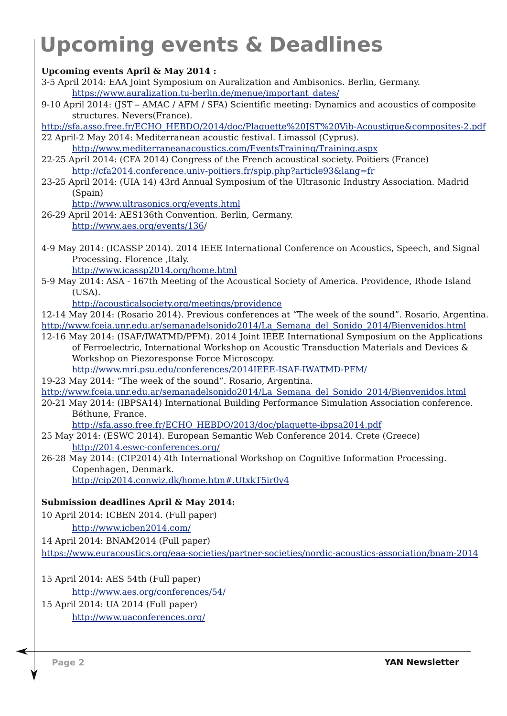# **Upcoming events & Deadlines**

**Upcoming events April & May 2014 :**

- 3-5 April 2014: EAA Joint Symposium on Auralization and Ambisonics. Berlin, Germany. https://www.auralization.tu-berlin.de/menue/important\_dates/
- 9-10 April 2014: (JST AMAC / AFM / SFA) Scientific meeting: Dynamics and acoustics of composite structures. Nevers(France).
- http://sfa.asso.free.fr/ECHO\_HEBDO/2014/doc/Plaquette%20JST%20Vib-Acoustique&composites-2.pdf
- 22 April-2 May 2014: Mediterranean acoustic festival. Limassol (Cyprus). http://www.mediterraneanacoustics.com/EventsTraining/Training.aspx
- 22-25 April 2014: (CFA 2014) Congress of the French acoustical society. Poitiers (France) http://cfa2014.conference.univ-poitiers.fr/spip.php?article93&lang=fr
- 23-25 April 2014: (UIA 14) 43rd Annual Symposium of the Ultrasonic Industry Association. Madrid (Spain)

http://www.ultrasonics.org/events.html

- 26-29 April 2014: AES136th Convention. Berlin, Germany. http://www.aes.org/events/136/
- 4-9 May 2014: (ICASSP 2014). 2014 IEEE International Conference on Acoustics, Speech, and Signal Processing. Florence ,Italy.

http://www.icassp2014.org/home.html

5-9 May 2014: ASA - 167th Meeting of the Acoustical Society of America. Providence, Rhode Island (USA).

http://acousticalsociety.org/meetings/providence

- 12-14 May 2014: (Rosario 2014). Previous conferences at "The week of the sound". Rosario, Argentina. http://www.fceia.unr.edu.ar/semanadelsonido2014/La\_Semana\_del\_Sonido\_2014/Bienvenidos.html
- 12-16 May 2014: (ISAF/IWATMD/PFM). 2014 Joint IEEE International Symposium on the Applications of Ferroelectric, International Workshop on Acoustic Transduction Materials and Devices & Workshop on Piezoresponse Force Microscopy.

http://www.mri.psu.edu/conferences/2014IEEE-ISAF-IWATMD-PFM/

- 19-23 May 2014: "The week of the sound". Rosario, Argentina.
- http://www.fceia.unr.edu.ar/semanadelsonido2014/La\_Semana\_del\_Sonido\_2014/Bienvenidos.html
- 20-21 May 2014: (IBPSA14) International Building Performance Simulation Association conference. Béthune, France.

http://sfa.asso.free.fr/ECHO\_HEBDO/2013/doc/plaquette-ibpsa2014.pdf

25 May 2014: (ESWC 2014). European Semantic Web Conference 2014. Crete (Greece) http://2014.eswc-conferences.org/

26-28 May 2014: (CIP2014) 4th International Workshop on Cognitive Information Processing. Copenhagen, Denmark. http://cip2014.conwiz.dk/home.htm#.UtxkT5ir0y4

**Submission deadlines April & May 2014:**

10 April 2014: ICBEN 2014. (Full paper)

http://www.icben2014.com/

14 April 2014: BNAM2014 (Full paper)

https://www.euracoustics.org/eaa-societies/partner-societies/nordic-acoustics-association/bnam-2014

15 April 2014: AES 54th (Full paper)

http://www.aes.org/conferences/54/

15 April 2014: UA 2014 (Full paper)

http://www.uaconferences.org/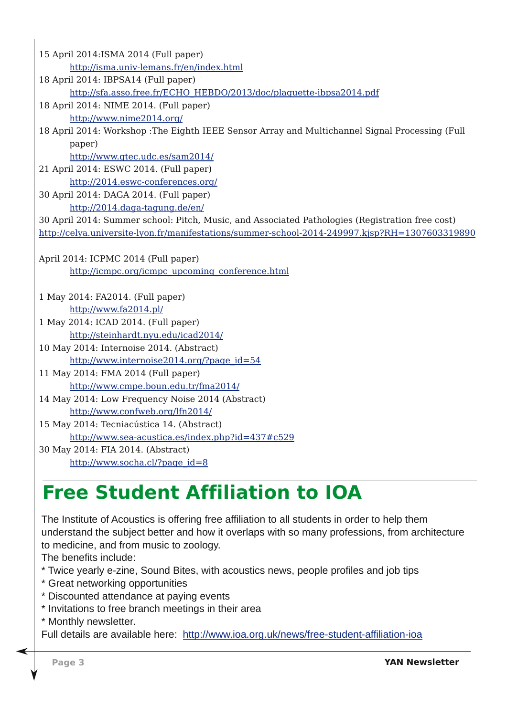15 April 2014:ISMA 2014 (Full paper) http://isma.univ-lemans.fr/en/index.html 18 April 2014: IBPSA14 (Full paper) http://sfa.asso.free.fr/ECHO\_HEBDO/2013/doc/plaquette-ibpsa2014.pdf 18 April 2014: NIME 2014. (Full paper) http://www.nime2014.org/ 18 April 2014: Workshop :The Eighth IEEE Sensor Array and Multichannel Signal Processing (Full paper) http://www.gtec.udc.es/sam2014/ 21 April 2014: ESWC 2014. (Full paper) http://2014.eswc-conferences.org/ 30 April 2014: DAGA 2014. (Full paper) http://2014.daga-tagung.de/en/ 30 April 2014: Summer school: Pitch, Music, and Associated Pathologies (Registration free cost) http://celya.universite-lyon.fr/manifestations/summer-school-2014-249997.kjsp?RH=1307603319890 April 2014: ICPMC 2014 (Full paper) http://icmpc.org/icmpc\_upcoming\_conference.html 1 May 2014: FA2014. (Full paper) http://www.fa2014.pl/ 1 May 2014: ICAD 2014. (Full paper) http://steinhardt.nyu.edu/icad2014/ 10 May 2014: Internoise 2014. (Abstract) http://www.internoise2014.org/?page\_id=54 11 May 2014: FMA 2014 (Full paper) http://www.cmpe.boun.edu.tr/fma2014/ 14 May 2014: Low Frequency Noise 2014 (Abstract) http://www.confweb.org/lfn2014/ 15 May 2014: Tecniacústica 14. (Abstract) http://www.sea-acustica.es/index.php?id=437#c529 30 May 2014: FIA 2014. (Abstract) http://www.socha.cl/?page\_id=8

### **Free Student Affiliation to IOA**

The Institute of Acoustics is offering free affiliation to all students in order to help them understand the subject better and how it overlaps with so many professions, from architecture to medicine, and from music to zoology.

The benefits include:

- \* Twice yearly e-zine, Sound Bites, with acoustics news, people profiles and job tips
- \* Great networking opportunities
- \* Discounted attendance at paying events
- \* Invitations to free branch meetings in their area
- \* Monthly newsletter.

Full details are available here: http://www.ioa.org.uk/news/free-student-affiliation-ioa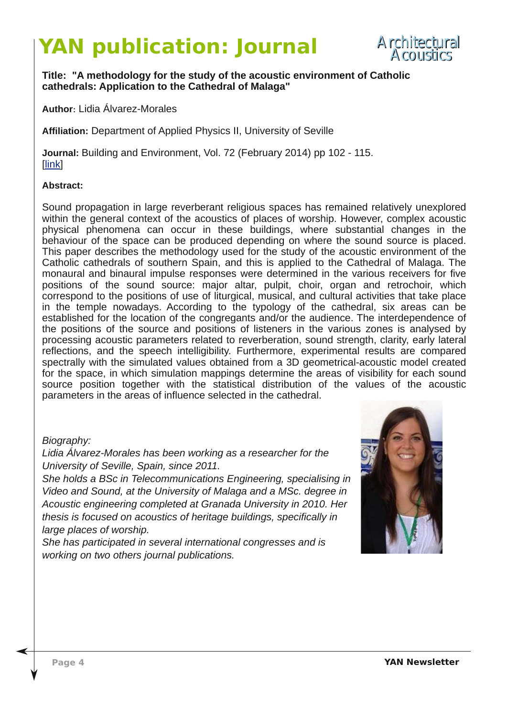## **YAN publication: Journal**



#### **Title: "A methodology for the study of the acoustic environment of Catholic cathedrals: Application to the Cathedral of Malaga"**

**Author: Lidia Álvarez-Morales** 

**Affiliation:** Department of Applied Physics II, University of Seville

**Journal:** Building and Environment, Vol. 72 (February 2014) pp 102 - 115. [\[link\]](http://tel.archives-ouvertes.fr/docs/00/92/69/80/PDF/these_Lionel_Feugere.pdf)

#### **[Abstrac](http://ieeexplore.ieee.org/stamp/stamp.jsp?arnumber=06661358)t:**

Sound propagation in large reverberant religious spaces has remained relatively unexplored within the general context of the acoustics of places of worship. However, complex acoustic physical phenomena can occur in these buildings, where substantial changes in the behaviour of the space can be produced depending on where the sound source is placed. This paper describes the methodology used for the study of the acoustic environment of the Catholic cathedrals of southern Spain, and this is applied to the Cathedral of Malaga. The monaural and binaural impulse responses were determined in the various receivers for five positions of the sound source: major altar, pulpit, choir, organ and retrochoir, which correspond to the positions of use of liturgical, musical, and cultural activities that take place in the temple nowadays. According to the typology of the cathedral, six areas can be established for the location of the congregants and/or the audience. The interdependence of the positions of the source and positions of listeners in the various zones is analysed by processing acoustic parameters related to reverberation, sound strength, clarity, early lateral reflections, and the speech intelligibility. Furthermore, experimental results are compared spectrally with the simulated values obtained from a 3D geometrical-acoustic model created for the space, in which simulation mappings determine the areas of visibility for each sound source position together with the statistical distribution of the values of the acoustic parameters in the areas of influence selected in the cathedral.

#### *Biography:*

*Lidia ÁlvarezMorales has been working as a researcher for the University of Seville, Spain, since 2011.*

*She holds a BSc in Telecommunications Engineering, specialising in Video and Sound, at the University of Malaga and a MSc. degree in Acoustic engineering completed at Granada University in 2010. Her thesis is focused on acoustics of heritage buildings, specifically in large places of worship.*

*She has participated in several international congresses and is working on two others journal publications.*

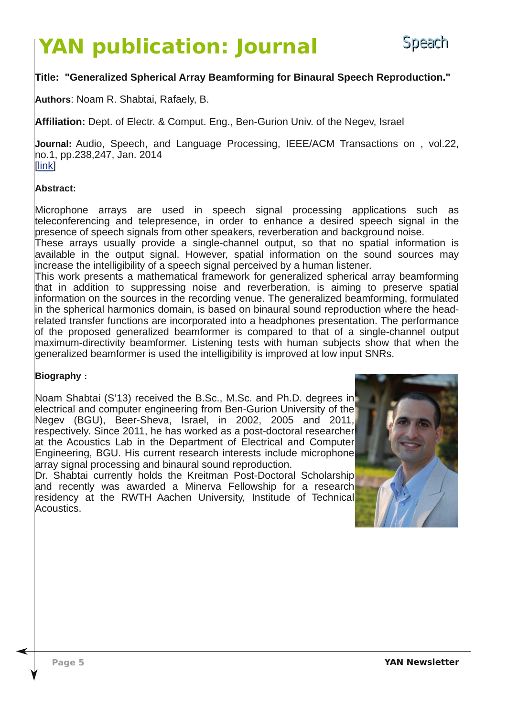# **YAN publication: Journal**

#### **Title: "Generalized Spherical Array Beamforming for Binaural Speech Reproduction."**

**Authors**: Noam R. Shabtai, Rafaely, B.

Affiliation: Dept. of Electr. & Comput. Eng., Ben-Gurion Univ. of the Negev, Israel

**Journal:** Audio, Speech, and Language Processing, IEEE/ACM Transactions on , vol.22, no.1, pp.238,247, Jan. 2014 [\[link\]](http://ieeexplore.ieee.org/xpl/articleDetails.jsp?arnumber=6661358&sortType%3Dasc_p_Sequence%26filter%3DAND(p_IS_Number%3A6663728))

#### **[Abstract](http://www.sciencedirect.com/science/article/pii/S0048969713007821):**

Microphone arrays are used in speech signal processing applications such as teleconferencing and telepresence, in order to enhance a desired speech signal in the presence of speech signals from other speakers, reverberation and background noise.

These arrays usually provide a single-channel output, so that no spatial information is available in the output signal. However, spatial information on the sound sources may increase the intelligibility of a speech signal perceived by a human listener.

This work presents a mathematical framework for generalized spherical array beamforming that in addition to suppressing noise and reverberation, is aiming to preserve spatial information on the sources in the recording venue. The generalized beamforming, formulated in the spherical harmonics domain, is based on binaural sound reproduction where the headrelated transfer functions are incorporated into a headphones presentation. The performance of the proposed generalized beamformer is compared to that of a singlechannel output maximum-directivity beamformer. Listening tests with human subjects show that when the generalized beamformer is used the intelligibility is improved at low input SNRs.

#### **Biography** :

Noam Shabtai (S'13) received the B.Sc., M.Sc. and Ph.D. degrees in electrical and computer engineering from Ben-Gurion University of the Negev (BGU), Beer-Sheva, Israel, in 2002, 2005 and 2011, respectively. Since 2011, he has worked as a post-doctoral researcher at the Acoustics Lab in the Department of Electrical and Computer Engineering, BGU. His current research interests include microphone array signal processing and binaural sound reproduction.

Dr. Shabtai currently holds the Kreitman Post-Doctoral Scholarship and recently was awarded a Minerva Fellowship for a research residency at the RWTH Aachen University, Institude of Technical Acoustics.

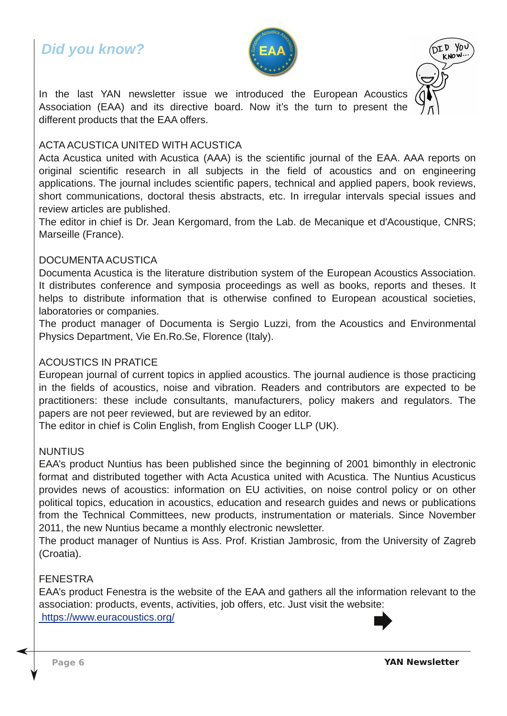### *Did you know?*





In the last YAN newsletter issue we introduced the European Acoustics Association (EAA) and its directive board. Now it's the turn to present the different products that the EAA offers.

#### ACTA ACUSTICA UNITED WITH ACUSTICA

Acta Acustica united with Acustica (AAA) is the scientific journal of the EAA. AAA reports on original scientific research in all subjects in the field of acoustics and on engineering applications. The journal includes scientific papers, technical and applied papers, book reviews, short communications, doctoral thesis abstracts, etc. In irregular intervals special issues and review articles are published.

The editor in chief is Dr. Jean Kergomard, from the Lab. de Mecanique et d'Acoustique, CNRS; Marseille (France).

#### DOCUMENTA ACUSTICA

Documenta Acustica is the literature distribution system of the European Acoustics Association. It distributes conference and symposia proceedings as well as books, reports and theses. It helps to distribute information that is otherwise confined to European acoustical societies, laboratories or companies.

The product manager of Documenta is Sergio Luzzi, from the Acoustics and Environmental Physics Department, Vie En.Ro.Se, Florence (Italy).

#### ACOUSTICS IN PRATICE

European journal of current topics in applied acoustics. The journal audience is those practicing in the fields of acoustics, noise and vibration. Readers and contributors are expected to be practitioners: these include consultants, manufacturers, policy makers and regulators. The papers are not peer reviewed, but are reviewed by an editor.

The editor in chief is Colin English, from English Cooger LLP (UK).

#### NUNTIUS

EAA's product Nuntius has been published since the beginning of 2001 bimonthly in electronic format and distributed together with Acta Acustica united with Acustica. The Nuntius Acusticus provides news of acoustics: information on EU activities, on noise control policy or on other political topics, education in acoustics, education and research guides and news or publications from the Technical Committees, new products, instrumentation or materials. Since November 2011, the new Nuntius became a monthly electronic newsletter.

The product manager of Nuntius is Ass. Prof. Kristian Jambrosic, from the University of Zagreb (Croatia).

#### FENESTRA

EAA's product Fenestra is the website of the EAA and gathers all the information relevant to the association: products, events, activities, job offers, etc. Just visit the website: [https://www.euracoustics.org/](https://www.euracoustics.org/
)